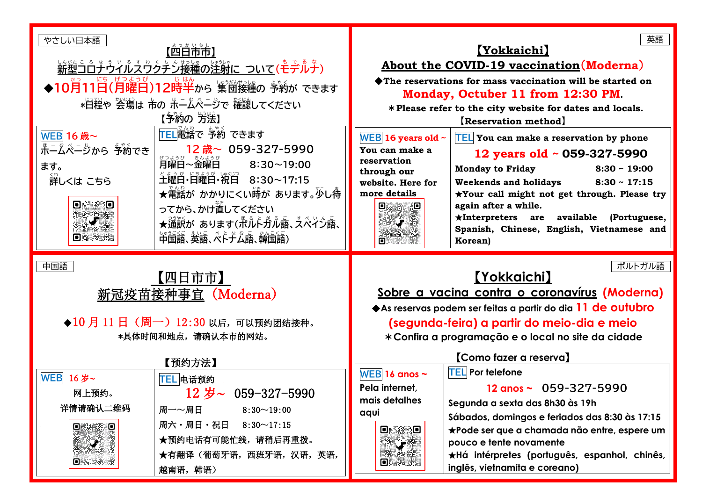